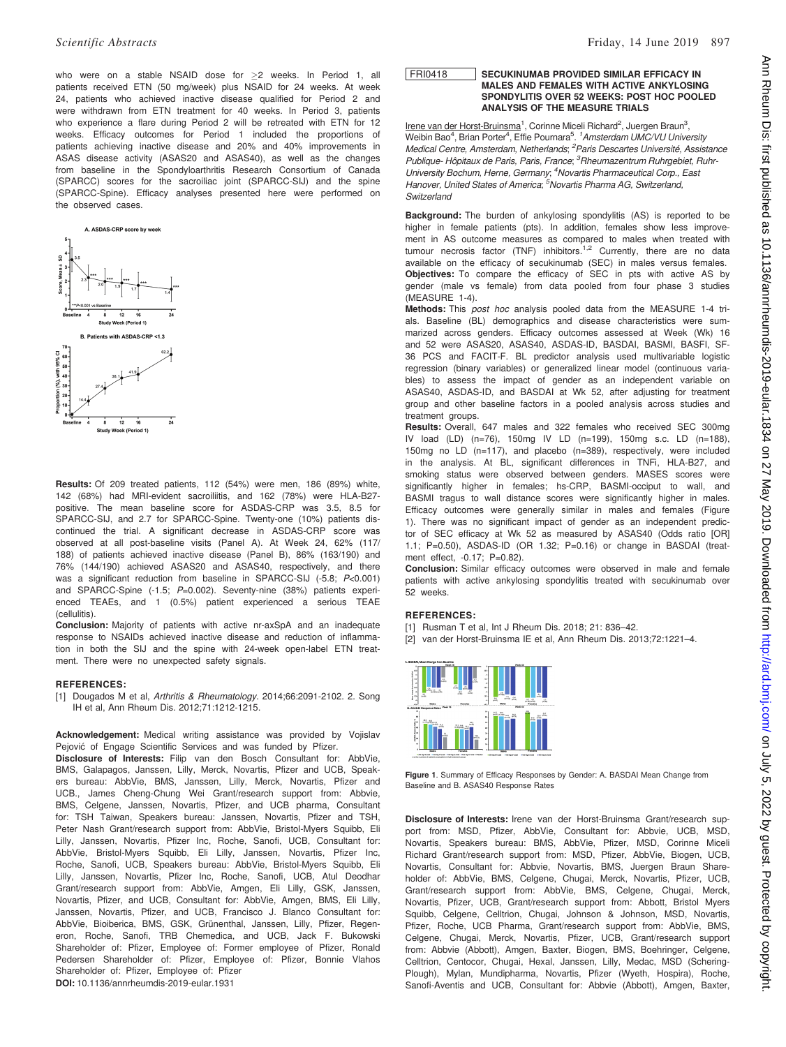who were on a stable NSAID dose for >2 weeks. In Period 1, all patients received ETN (50 mg/week) plus NSAID for 24 weeks. At week 24, patients who achieved inactive disease qualified for Period 2 and were withdrawn from ETN treatment for 40 weeks. In Period 3, patients who experience a flare during Period 2 will be retreated with ETN for 12 weeks. Efficacy outcomes for Period 1 included the proportions of patients achieving inactive disease and 20% and 40% improvements in ASAS disease activity (ASAS20 and ASAS40), as well as the changes from baseline in the Spondyloarthritis Research Consortium of Canada (SPARCC) scores for the sacroiliac joint (SPARCC-SIJ) and the spine (SPARCC-Spine). Efficacy analyses presented here were performed on the observed cases.



Results: Of 209 treated patients, 112 (54%) were men, 186 (89%) white, 142 (68%) had MRI-evident sacroiliitis, and 162 (78%) were HLA-B27 positive. The mean baseline score for ASDAS-CRP was 3.5, 8.5 for SPARCC-SIJ, and 2.7 for SPARCC-Spine. Twenty-one (10%) patients discontinued the trial. A significant decrease in ASDAS-CRP score was observed at all post-baseline visits (Panel A). At Week 24, 62% (117/ 188) of patients achieved inactive disease (Panel B), 86% (163/190) and 76% (144/190) achieved ASAS20 and ASAS40, respectively, and there was a significant reduction from baseline in SPARCC-SIJ (-5.8; P<0.001) and SPARCC-Spine (-1.5; P=0.002). Seventy-nine (38%) patients experienced TEAEs, and 1 (0.5%) patient experienced a serious TEAE (cellulitis).

Conclusion: Majority of patients with active nr-axSpA and an inadequate response to NSAIDs achieved inactive disease and reduction of inflammation in both the SIJ and the spine with 24-week open-label ETN treatment. There were no unexpected safety signals.

#### REFERENCES:

[1] Dougados M et al, Arthritis & Rheumatology. 2014;66:2091-2102. 2. Song IH et al, Ann Rheum Dis. 2012;71:1212-1215.

Acknowledgement: Medical writing assistance was provided by Vojislav Pejović of Engage Scientific Services and was funded by Pfizer.

Disclosure of Interests: Filip van den Bosch Consultant for: AbbVie, BMS, Galapagos, Janssen, Lilly, Merck, Novartis, Pfizer and UCB, Speakers bureau: AbbVie, BMS, Janssen, Lilly, Merck, Novartis, Pfizer and UCB., James Cheng-Chung Wei Grant/research support from: Abbvie, BMS, Celgene, Janssen, Novartis, Pfizer, and UCB pharma, Consultant for: TSH Taiwan, Speakers bureau: Janssen, Novartis, Pfizer and TSH, Peter Nash Grant/research support from: AbbVie, Bristol-Myers Squibb, Eli Lilly, Janssen, Novartis, Pfizer Inc, Roche, Sanofi, UCB, Consultant for: AbbVie, Bristol-Myers Squibb, Eli Lilly, Janssen, Novartis, Pfizer Inc, Roche, Sanofi, UCB, Speakers bureau: AbbVie, Bristol-Myers Squibb, Eli Lilly, Janssen, Novartis, Pfizer Inc, Roche, Sanofi, UCB, Atul Deodhar Grant/research support from: AbbVie, Amgen, Eli Lilly, GSK, Janssen, Novartis, Pfizer, and UCB, Consultant for: AbbVie, Amgen, BMS, Eli Lilly, Janssen, Novartis, Pfizer, and UCB, Francisco J. Blanco Consultant for: AbbVie, Bioiberica, BMS, GSK, Grünenthal, Janssen, Lilly, Pfizer, Regeneron, Roche, Sanofi, TRB Chemedica, and UCB, Jack F. Bukowski Shareholder of: Pfizer, Employee of: Former employee of Pfizer, Ronald Pedersen Shareholder of: Pfizer, Employee of: Pfizer, Bonnie Vlahos Shareholder of: Pfizer, Employee of: Pfizer DOI: 10.1136/annrheumdis-2019-eular.1931

## FRI0418 SECUKINUMAB PROVIDED SIMILAR EFFICACY IN MALES AND FEMALES WITH ACTIVE ANKYLOSING SPONDYLITIS OVER 52 WEEKS: POST HOC POOLED ANALYSIS OF THE MEASURE TRIALS

Irene van der Horst-Bruinsma<sup>1</sup>, Corinne Miceli Richard<sup>2</sup>, Juergen Braun<sup>3</sup>, Weibin Bao<sup>4</sup>, Brian Porter<sup>4</sup>, Effie Pournara<sup>5</sup>. <sup>1</sup> Amsterdam UMC/VU University Medical Centre, Amsterdam, Netherlands; <sup>2</sup> Paris Descartes Université, Assistance Publique- Hôpitaux de Paris, Paris, France; <sup>3</sup>Rheumazentrum Ruhrgebiet, Ruhr-University Bochum, Herne, Germany; <sup>4</sup>Novartis Pharmaceutical Corp., East Hanover, United States of America; <sup>5</sup>Novartis Pharma AG, Switzerland, Switzerland

Background: The burden of ankylosing spondylitis (AS) is reported to be higher in female patients (pts). In addition, females show less improvement in AS outcome measures as compared to males when treated with tumour necrosis factor (TNF) inhibitors.<sup>1,2</sup> Currently, there are no data available on the efficacy of secukinumab (SEC) in males versus females. Objectives: To compare the efficacy of SEC in pts with active AS by gender (male vs female) from data pooled from four phase 3 studies (MEASURE 1-4).

Methods: This post hoc analysis pooled data from the MEASURE 1-4 trials. Baseline (BL) demographics and disease characteristics were summarized across genders. Efficacy outcomes assessed at Week (Wk) 16 and 52 were ASAS20, ASAS40, ASDAS-ID, BASDAI, BASMI, BASFI, SF-36 PCS and FACIT-F. BL predictor analysis used multivariable logistic regression (binary variables) or generalized linear model (continuous variables) to assess the impact of gender as an independent variable on ASAS40, ASDAS-ID, and BASDAI at Wk 52, after adjusting for treatment group and other baseline factors in a pooled analysis across studies and treatment groups.

Results: Overall, 647 males and 322 females who received SEC 300mg IV load (LD) (n=76), 150mg IV LD (n=199), 150mg s.c. LD (n=188), 150mg no LD (n=117), and placebo (n=389), respectively, were included in the analysis. At BL, significant differences in TNFi, HLA-B27, and smoking status were observed between genders. MASES scores were significantly higher in females; hs-CRP, BASMI-occiput to wall, and BASMI tragus to wall distance scores were significantly higher in males. Efficacy outcomes were generally similar in males and females (Figure 1). There was no significant impact of gender as an independent predictor of SEC efficacy at Wk 52 as measured by ASAS40 (Odds ratio [OR] 1.1; P=0.50), ASDAS-ID (OR 1.32; P=0.16) or change in BASDAI (treatment effect, -0.17; P=0.82).

Conclusion: Similar efficacy outcomes were observed in male and female patients with active ankylosing spondylitis treated with secukinumab over 52 weeks.

# REFERENCES:

[1] Rusman T et al, Int J Rheum Dis. 2018; 21: 836-42. [2] van der Horst-Bruinsma IE et al, Ann Rheum Dis. 2013;72:1221–4.

| u, baquar, mean unange trom baqeane                                                                                                                                                                                                                                                                                                                                                                                                                                                                         |                                            |                                                |                                                      |                                                                   |  |  |  |  |  |  |
|-------------------------------------------------------------------------------------------------------------------------------------------------------------------------------------------------------------------------------------------------------------------------------------------------------------------------------------------------------------------------------------------------------------------------------------------------------------------------------------------------------------|--------------------------------------------|------------------------------------------------|------------------------------------------------------|-------------------------------------------------------------------|--|--|--|--|--|--|
|                                                                                                                                                                                                                                                                                                                                                                                                                                                                                                             | Week 16                                    |                                                |                                                      | Week 82                                                           |  |  |  |  |  |  |
| $\ddot{\phantom{a}}$<br><b>WAY</b><br>×<br>A6<br>$\frac{43}{1288}$<br>٠<br>is.<br>$\frac{1}{2} \frac{1}{2} \frac{1}{2} \frac{1}{2} \frac{1}{2} \frac{1}{2} \frac{1}{2} \frac{1}{2} \frac{1}{2} \frac{1}{2} \frac{1}{2} \frac{1}{2} \frac{1}{2} \frac{1}{2} \frac{1}{2} \frac{1}{2} \frac{1}{2} \frac{1}{2} \frac{1}{2} \frac{1}{2} \frac{1}{2} \frac{1}{2} \frac{1}{2} \frac{1}{2} \frac{1}{2} \frac{1}{2} \frac{1}{2} \frac{1}{2} \frac{1}{2} \frac{1}{2} \frac{1}{2} \frac{$<br>à.<br>as.<br>24<br>÷<br>٠ | -55<br>盂<br>22.<br>$\frac{dI}{dH}$<br>a sa | A5<br>٠<br>A\$<br>٠<br>as i<br>à.<br>as.<br>×. | 35<br>$\frac{43}{215}$<br>$^{44}$<br>$\frac{34}{25}$ | $+11$<br>nis da<br>$42 - 47$<br>32<br><b>HATEL HATEL</b><br>a She |  |  |  |  |  |  |
| Mades                                                                                                                                                                                                                                                                                                                                                                                                                                                                                                       | Fenging<br>Fernies A1 Mai                  |                                                |                                                      | Eamates                                                           |  |  |  |  |  |  |
|                                                                                                                                                                                                                                                                                                                                                                                                                                                                                                             |                                            |                                                | Week 62                                              |                                                                   |  |  |  |  |  |  |
| <b>B. ASAS40 Response Rates Week 15</b>                                                                                                                                                                                                                                                                                                                                                                                                                                                                     |                                            |                                                |                                                      |                                                                   |  |  |  |  |  |  |
| 43.53<br>w<br>٠<br>L.E.<br><b>BUANE</b><br>٠<br>×.<br>٠                                                                                                                                                                                                                                                                                                                                                                                                                                                     | 18.2<br>m                                  | ×<br>u<br>٠<br>×<br>×                          | with side                                            | o.<br>$24 - 9 = 36$<br>5.6 %<br>m/a                               |  |  |  |  |  |  |
| <b>Mades</b>                                                                                                                                                                                                                                                                                                                                                                                                                                                                                                | Fenubra                                    |                                                | Malen                                                | <b>Females</b>                                                    |  |  |  |  |  |  |
| a Militar Incident a Wilson's Louis a Wilson actual a Wilson Intelligence<br>- 300 mg it Load<br>technique to accepted<br>which may not bound<br>A is the number of callerily evaluated in that beatment select                                                                                                                                                                                                                                                                                             |                                            |                                                |                                                      |                                                                   |  |  |  |  |  |  |

Figure 1. Summary of Efficacy Responses by Gender: A. BASDAI Mean Change from Baseline and B. ASAS40 Response Rates

Disclosure of Interests: Irene van der Horst-Bruinsma Grant/research support from: MSD, Pfizer, AbbVie, Consultant for: Abbvie, UCB, MSD, Novartis, Speakers bureau: BMS, AbbVie, Pfizer, MSD, Corinne Miceli Richard Grant/research support from: MSD, Pfizer, AbbVie, Biogen, UCB, Novartis, Consultant for: Abbvie, Novartis, BMS, Juergen Braun Shareholder of: AbbVie, BMS, Celgene, Chugai, Merck, Novartis, Pfizer, UCB, Grant/research support from: AbbVie, BMS, Celgene, Chugai, Merck, Novartis, Pfizer, UCB, Grant/research support from: Abbott, Bristol Myers Squibb, Celgene, Celltrion, Chugai, Johnson & Johnson, MSD, Novartis, Pfizer, Roche, UCB Pharma, Grant/research support from: AbbVie, BMS, Celgene, Chugai, Merck, Novartis, Pfizer, UCB, Grant/research support from: Abbvie (Abbott), Amgen, Baxter, Biogen, BMS, Boehringer, Celgene, Celltrion, Centocor, Chugai, Hexal, Janssen, Lilly, Medac, MSD (Schering-Plough), Mylan, Mundipharma, Novartis, Pfizer (Wyeth, Hospira), Roche, Sanofi-Aventis and UCB, Consultant for: Abbvie (Abbott), Amgen, Baxter,